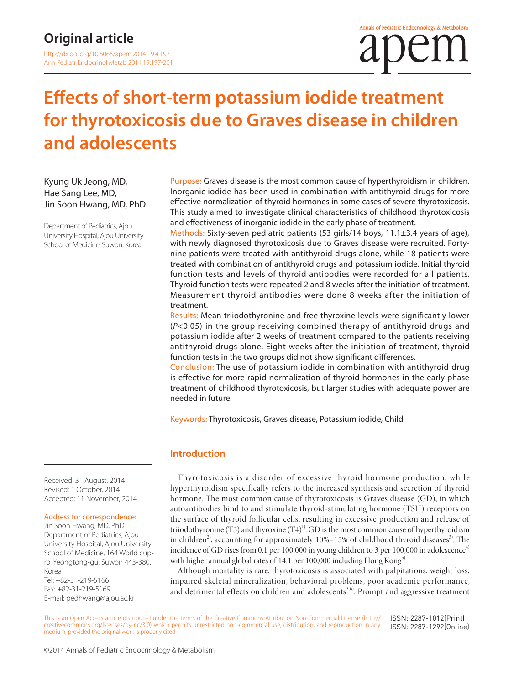# **Effects of short-term potassium iodide treatment for thyrotoxicosis due to Graves disease in children and adolescents**

Kyung Uk Jeong, MD, Hae Sang Lee, MD, Jin Soon Hwang, MD, PhD

Department of Pediatrics, Ajou University Hospital, Ajou University School of Medicine, Suwon, Korea

Purpose: Graves disease is the most common cause of hyperthyroidism in children. Inorganic iodide has been used in combination with antithyroid drugs for more effective normalization of thyroid hormones in some cases of severe thyrotoxicosis. This study aimed to investigate clinical characteristics of childhood thyrotoxicosis and effectiveness of inorganic iodide in the early phase of treatment.

Methods: Sixty-seven pediatric patients (53 girls/14 boys, 11.1±3.4 years of age), with newly diagnosed thyrotoxicosis due to Graves disease were recruited. Fortynine patients were treated with antithyroid drugs alone, while 18 patients were treated with combination of antithyroid drugs and potassium iodide. Initial thyroid function tests and levels of thyroid antibodies were recorded for all patients. Thyroid function tests were repeated 2 and 8 weeks after the initiation of treatment. Measurement thyroid antibodies were done 8 weeks after the initiation of treatment.

Results: Mean triiodothyronine and free thyroxine levels were significantly lower (*P*<0.05) in the group receiving combined therapy of antithyroid drugs and potassium iodide after 2 weeks of treatment compared to the patients receiving antithyroid drugs alone. Eight weeks after the initiation of treatment, thyroid function tests in the two groups did not show significant differences.

Conclusion: The use of potassium iodide in combination with antithyroid drug is effective for more rapid normalization of thyroid hormones in the early phase treatment of childhood thyrotoxicosis, but larger studies with adequate power are needed in future.

Keywords: Thyrotoxicosis, Graves disease, Potassium iodide, Child

## **Introduction**

Thyrotoxicosis is a disorder of excessive thyroid hormone production, while hyperthyroidism specifically refers to the increased synthesis and secretion of thyroid hormone. The most common cause of thyrotoxicosis is Graves disease (GD), in which autoantibodies bind to and stimulate thyroid-stimulating hormone (TSH) receptors on the surface of thyroid follicular cells, resulting in excessive production and release of triiodothyronine (T3) and thyroxine  $(T4)^{1}$ . GD is the most common cause of hyperthyroidism in children<sup>2</sup>, accounting for approximately  $10\% - 15\%$  of childhood thyroid diseases<sup>3)</sup>. The incidence of GD rises from 0.1 per 100,000 in young children to 3 per 100,000 in adolescence<sup>4)</sup> with higher annual global rates of 14.1 per 100,000 including Hong Kong<sup>5)</sup>.

Although mortality is rare, thyrotoxicosis is associated with palpitations, weight loss, impaired skeletal mineralization, behavioral problems, poor academic performance, and detrimental effects on children and adolescents $3,6$ . Prompt and aggressive treatment

This is an Open Access article distributed under the terms of the Creative Commons Attribution Non-Commercial License (http:// creativecommons.org/licenses/by-nc/3.0) which permits unrestricted non-commercial use, distribution, and reproduction in any medium, provided the original work is properly cited. ISSN: 2287-1012(Print) ISSN: 2287-1292(Online)

Received: 31 August, 2014 Revised: 1 October, 2014 Accepted: 11 November, 2014

#### Address for correspondence:

Jin Soon Hwang, MD, PhD Department of Pediatrics, Ajou University Hospital, Ajou University School of Medicine, 164 World cupro, Yeongtong-gu, Suwon 443-380, Korea Tel: +82-31-219-5166 Fax: +82-31-219-5169 E-mail: pedhwang@ajou.ac.kr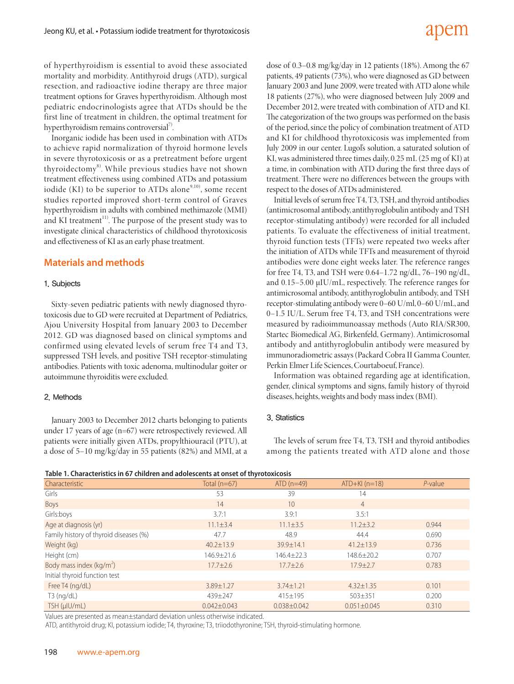## adem

of hyperthyroidism is essential to avoid these associated mortality and morbidity. Antithyroid drugs (ATD), surgical resection, and radioactive iodine therapy are three major treatment options for Graves hyperthyroidism. Although most pediatric endocrinologists agree that ATDs should be the first line of treatment in children, the optimal treatment for hyperthyroidism remains controversial<sup>7)</sup>.

Inorganic iodide has been used in combination with ATDs to achieve rapid normalization of thyroid hormone levels in severe thyrotoxicosis or as a pretreatment before urgent thyroidectomy<sup>8)</sup>. While previous studies have not shown treatment effectiveness using combined ATDs and potassium iodide (KI) to be superior to ATDs alone<sup>9,10</sup>, some recent studies reported improved short-term control of Graves hyperthyroidism in adults with combined methimazole (MMI) and KI treatment<sup>11)</sup>. The purpose of the present study was to investigate clinical characteristics of childhood thyrotoxicosis and effectiveness of KI as an early phase treatment.

## **Materials and methods**

#### 1. Subjects

Sixty-seven pediatric patients with newly diagnosed thyrotoxicosis due to GD were recruited at Department of Pediatrics, Ajou University Hospital from January 2003 to December 2012. GD was diagnosed based on clinical symptoms and confirmed using elevated levels of serum free T4 and T3, suppressed TSH levels, and positive TSH receptor-stimulating antibodies. Patients with toxic adenoma, multinodular goiter or autoimmune thyroiditis were excluded.

#### 2. Methods

January 2003 to December 2012 charts belonging to patients under 17 years of age (n=67) were retrospectively reviewed. All patients were initially given ATDs, propylthiouracil (PTU), at a dose of 5–10 mg/kg/day in 55 patients (82%) and MMI, at a

dose of 0.3–0.8 mg/kg/day in 12 patients (18%). Among the 67 patients, 49 patients (73%), who were diagnosed as GD between January 2003 and June 2009, were treated with ATD alone while 18 patients (27%), who were diagnosed between July 2009 and December 2012, were treated with combination of ATD and KI. The categorization of the two groups was performed on the basis of the period, since the policy of combination treatment of ATD and KI for childhood thyrotoxicosis was implemented from July 2009 in our center. Lugol's solution, a saturated solution of KI, was administered three times daily, 0.25 mL (25 mg of KI) at a time, in combination with ATD during the first three days of treatment. There were no differences between the groups with respect to the doses of ATDs administered.

Initial levels of serum free T4, T3, TSH, and thyroid antibodies (antimicrosomal antibody, antithyroglobulin antibody and TSH receptor-stimulating antibody) were recorded for all included patients. To evaluate the effectiveness of initial treatment, thyroid function tests (TFTs) were repeated two weeks after the initiation of ATDs while TFTs and measurement of thyroid antibodies were done eight weeks later. The reference ranges for free T4, T3, and TSH were 0.64–1.72 ng/dL, 76–190 ng/dL, and 0.15–5.00 μIU/mL, respectively. The reference ranges for antimicrosomal antibody, antithyroglobulin antibody, and TSH receptor-stimulating antibody were 0–60 U/ml, 0–60 U/mL, and 0–1.5 IU/L. Serum free T4, T3, and TSH concentrations were measured by radioimmunoassay methods (Auto RIA/SR300, Startec Biomedical AG, Birkenfeld, Germany). Antimicrosomal antibody and antithyroglobulin antibody were measured by immunoradiometric assays (Packard Cobra II Gamma Counter, Perkin Elmer Life Sciences, Courtaboeuf, France).

Information was obtained regarding age at identification, gender, clinical symptoms and signs, family history of thyroid diseases, heights, weights and body mass index (BMI).

#### 3. Statistics

The levels of serum free T4, T3, TSH and thyroid antibodies among the patients treated with ATD alone and those

| Table 1. Characteristics in 67 children and adolescents at onset of thyrotoxicosis |  |  |  |  |  |
|------------------------------------------------------------------------------------|--|--|--|--|--|
|------------------------------------------------------------------------------------|--|--|--|--|--|

| Characteristic                         | Total $(n=67)$    | $ATD(n=49)$       | $ATD+KI$ (n=18)   | $P$ -value |
|----------------------------------------|-------------------|-------------------|-------------------|------------|
| Girls                                  | 53                | 39                | 14                |            |
| <b>Boys</b>                            | 14                | 10                | $\overline{4}$    |            |
| Girls:boys                             | 3.7:1             | 3.9:1             | 3.5:1             |            |
| Age at diagnosis (yr)                  | $11.1 \pm 3.4$    | $11.1 \pm 3.5$    | $11.2 \pm 3.2$    | 0.944      |
| Family history of thyroid diseases (%) | 47.7              | 48.9              | 44.4              | 0.690      |
| Weight (kg)                            | $40.2 \pm 13.9$   | 39.9±14.1         | $41.2 \pm 13.9$   | 0.736      |
| Height (cm)                            | 146.9±21.6        | $146.4 \pm 22.3$  | 148.6±20.2        | 0.707      |
| Body mass index (kg/m <sup>2</sup> )   | $17.7 \pm 2.6$    | $17.7 \pm 2.6$    | $17.9 \pm 2.7$    | 0.783      |
| Initial thyroid function test          |                   |                   |                   |            |
| Free T4 (ng/dL)                        | $3.89 \pm 1.27$   | $3.74 \pm 1.21$   | $4.32 \pm 1.35$   | 0.101      |
| $T3$ (ng/dL)                           | 439±247           | $415 \pm 195$     | $503 \pm 351$     | 0.200      |
| TSH (µIU/mL)                           | $0.042 \pm 0.043$ | $0.038 \pm 0.042$ | $0.051 \pm 0.045$ | 0.310      |

Values are presented as mean±standard deviation unless otherwise indicated.

ATD, antithyroid drug; KI, potassium iodide; T4, thyroxine; T3, triiodothyronine; TSH, thyroid-stimulating hormone.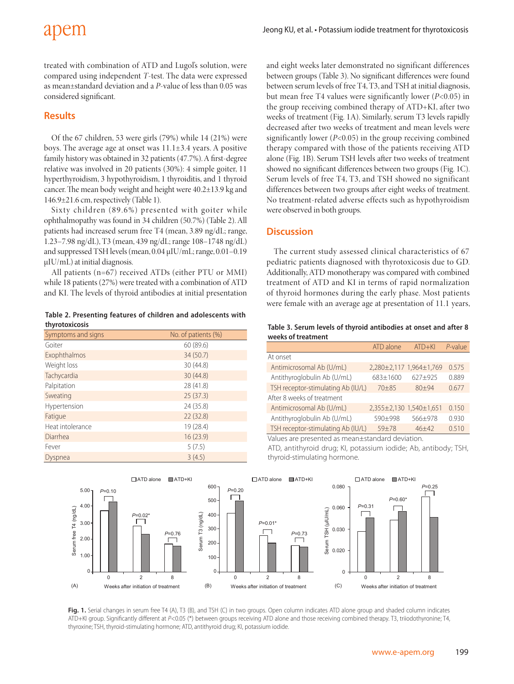treated with combination of ATD and Lugol's solution, were compared using independent *T*-test. The data were expressed as mean±standard deviation and a *P*-value of less than 0.05 was considered significant.

## **Results**

Of the 67 children, 53 were girls (79%) while 14 (21%) were boys. The average age at onset was 11.1±3.4 years. A positive family history was obtained in 32 patients (47.7%). A first-degree relative was involved in 20 patients (30%): 4 simple goiter, 11 hyperthyroidism, 3 hypothyroidism, 1 thyroiditis, and 1 thyroid cancer. The mean body weight and height were 40.2±13.9 kg and 146.9±21.6 cm, respectively (Table 1).

Sixty children (89.6%) presented with goiter while ophthalmopathy was found in 34 children (50.7%) (Table 2). All patients had increased serum free T4 (mean, 3.89 ng/dL; range, 1.23–7.98 ng/dL), T3 (mean, 439 ng/dL; range 108–1748 ng/dL) and suppressed TSH levels (mean, 0.04 μIU/mL; range, 0.01–0.19 μIU/mL) at initial diagnosis.

All patients (n=67) received ATDs (either PTU or MMI) while 18 patients (27%) were treated with a combination of ATD and KI. The levels of thyroid antibodies at initial presentation

**Table 2. Presenting features of children and adolescents with thyrotoxicosis**

| Symptoms and signs | No. of patients (%) |  |  |
|--------------------|---------------------|--|--|
| Goiter             | 60 (89.6)           |  |  |
| Exophthalmos       | 34 (50.7)           |  |  |
| Weight loss        | 30 (44.8)           |  |  |
| Tachycardia        | 30(44.8)            |  |  |
| Palpitation        | 28 (41.8)           |  |  |
| Sweating           | 25(37.3)            |  |  |
| Hypertension       | 24 (35.8)           |  |  |
| Fatique            | 22(32.8)            |  |  |
| Heat intolerance   | 19 (28.4)           |  |  |
| Diarrhea           | 16(23.9)            |  |  |
| Fever              | 5(7.5)              |  |  |
| Dyspnea            | 3(4.5)              |  |  |

and eight weeks later demonstrated no significant differences between groups (Table 3). No significant differences were found between serum levels of free T4, T3, and TSH at initial diagnosis, but mean free T4 values were significantly lower (*P*<0.05) in the group receiving combined therapy of ATD+KI, after two weeks of treatment (Fig. 1A). Similarly, serum T3 levels rapidly decreased after two weeks of treatment and mean levels were significantly lower (*P*<0.05) in the group receiving combined therapy compared with those of the patients receiving ATD alone (Fig. 1B). Serum TSH levels after two weeks of treatment showed no significant differences between two groups (Fig. 1C). Serum levels of free T4, T3, and TSH showed no significant differences between two groups after eight weeks of treatment. No treatment-related adverse effects such as hypothyroidism were observed in both groups.

### **Discussion**

The current study assessed clinical characteristics of 67 pediatric patients diagnosed with thyrotoxicosis due to GD. Additionally, ATD monotherapy was compared with combined treatment of ATD and KI in terms of rapid normalization of thyroid hormones during the early phase. Most patients were female with an average age at presentation of 11.1 years,

**Table 3. Serum levels of thyroid antibodies at onset and after 8 weeks of treatment**

|                                    | ATD alone                         | $ATD+KI$                | P-value |  |  |
|------------------------------------|-----------------------------------|-------------------------|---------|--|--|
| At onset                           |                                   |                         |         |  |  |
| Antimicrosomal Ab (U/mL)           |                                   | 2,280±2,117 1,964±1,769 | 0.575   |  |  |
| Antithyroglobulin Ab (U/mL)        | 683±1600                          | $627 + 925$             | 0.889   |  |  |
| TSH receptor-stimulating Ab (IU/L) | $70 + 85$                         | $80 + 94$               | 0.677   |  |  |
| After 8 weeks of treatment         |                                   |                         |         |  |  |
| Antimicrosomal Ab (U/mL)           | $2,355\pm2,130$ 1,540 $\pm$ 1,651 |                         | 0.150   |  |  |
| Antithyroglobulin Ab (U/mL)        | 590+998                           | $566+978$               | 0.930   |  |  |
| TSH receptor-stimulating Ab (IU/L) | $59 + 78$                         | $46+42$                 | 0,510   |  |  |

Values are presented as mean±standard deviation.

ATD, antithyroid drug; KI, potassium iodide; Ab, antibody; TSH, thyroid-stimulating hormone.



Fig. 1. Serial changes in serum free T4 (A), T3 (B), and TSH (C) in two groups. Open column indicates ATD alone group and shaded column indicates ATD+KI group. Significantly different at *P*<0.05 (\*) between groups receiving ATD alone and those receiving combined therapy. T3, triiodothyronine; T4, thyroxine; TSH, thyroid-stimulating hormone; ATD, antithyroid drug; KI, potassium iodide.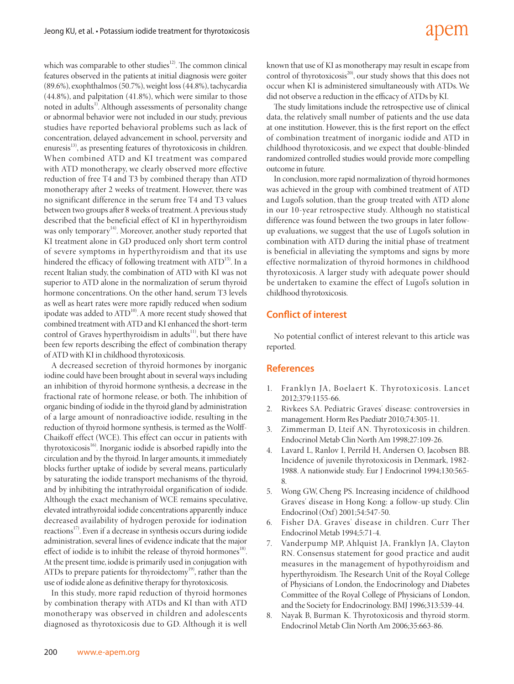which was comparable to other studies $12$ . The common clinical features observed in the patients at initial diagnosis were goiter (89.6%), exophthalmos (50.7%), weight loss (44.8%), tachycardia (44.8%), and palpitation (41.8%), which were similar to those noted in adults<sup>1)</sup>. Although assessments of personality change or abnormal behavior were not included in our study, previous studies have reported behavioral problems such as lack of concentration, delayed advancement in school, perversity and enuresis<sup>13)</sup>, as presenting features of thyrotoxicosis in children. When combined ATD and KI treatment was compared with ATD monotherapy, we clearly observed more effective reduction of free T4 and T3 by combined therapy than ATD monotherapy after 2 weeks of treatment. However, there was no significant difference in the serum free T4 and T3 values between two groups after 8 weeks of treatment. A previous study described that the beneficial effect of KI in hyperthyroidism was only temporary<sup>14)</sup>. Moreover, another study reported that KI treatment alone in GD produced only short term control of severe symptoms in hyperthyroidism and that its use hindered the efficacy of following treatment with ATD<sup>15)</sup>. In a recent Italian study, the combination of ATD with KI was not superior to ATD alone in the normalization of serum thyroid hormone concentrations. On the other hand, serum T3 levels as well as heart rates were more rapidly reduced when sodium ipodate was added to ATD<sup>10)</sup>. A more recent study showed that combined treatment with ATD and KI enhanced the short-term control of Graves hyperthyroidism in adults<sup>11)</sup>, but there have been few reports describing the effect of combination therapy of ATD with KI in childhood thyrotoxicosis.

A decreased secretion of thyroid hormones by inorganic iodine could have been brought about in several ways including an inhibition of thyroid hormone synthesis, a decrease in the fractional rate of hormone release, or both. The inhibition of organic binding of iodide in the thyroid gland by administration of a large amount of nonradioactive iodide, resulting in the reduction of thyroid hormone synthesis, is termed as the Wolff-Chaikoff effect (WCE). This effect can occur in patients with thyrotoxicosis<sup>16)</sup>. Inorganic iodide is absorbed rapidly into the circulation and by the thyroid. In larger amounts, it immediately blocks further uptake of iodide by several means, particularly by saturating the iodide transport mechanisms of the thyroid, and by inhibiting the intrathyroidal organification of iodide. Although the exact mechanism of WCE remains speculative, elevated intrathyroidal iodide concentrations apparently induce decreased availability of hydrogen peroxide for iodination reactions<sup>17)</sup>. Even if a decrease in synthesis occurs during iodide administration, several lines of evidence indicate that the major effect of iodide is to inhibit the release of thyroid hormones<sup>18)</sup>. At the present time, iodide is primarily used in conjugation with ATDs to prepare patients for thyroidectomy<sup>19)</sup>, rather than the use of iodide alone as definitive therapy for thyrotoxicosis.

In this study, more rapid reduction of thyroid hormones by combination therapy with ATDs and KI than with ATD monotherapy was observed in children and adolescents diagnosed as thyrotoxicosis due to GD. Although it is well

known that use of KI as monotherapy may result in escape from control of thyrotoxicosis<sup>20)</sup>, our study shows that this does not occur when KI is administered simultaneously with ATDs. We did not observe a reduction in the efficacy of ATDs by KI.

The study limitations include the retrospective use of clinical data, the relatively small number of patients and the use data at one institution. However, this is the first report on the effect of combination treatment of inorganic iodide and ATD in childhood thyrotoxicosis, and we expect that double-blinded randomized controlled studies would provide more compelling outcome in future.

In conclusion, more rapid normalization of thyroid hormones was achieved in the group with combined treatment of ATD and Lugol's solution, than the group treated with ATD alone in our 10-year retrospective study. Although no statistical difference was found between the two groups in later followup evaluations, we suggest that the use of Lugol's solution in combination with ATD during the initial phase of treatment is beneficial in alleviating the symptoms and signs by more effective normalization of thyroid hormones in childhood thyrotoxicosis. A larger study with adequate power should be undertaken to examine the effect of Lugol's solution in childhood thyrotoxicosis.

#### **Conflict of interest**

No potential conflict of interest relevant to this article was reported.

#### **References**

- 1. Franklyn JA, Boelaert K. Thyrotoxicosis. Lancet 2012;379:1155-66.
- 2. Rivkees SA. Pediatric Graves' disease: controversies in management. Horm Res Paediatr 2010;74:305-11.
- 3. Zimmerman D, Lteif AN. Thyrotoxicosis in children. Endocrinol Metab Clin North Am 1998;27:109-26.
- 4. Lavard L, Ranlov I, Perrild H, Andersen O, Jacobsen BB. Incidence of juvenile thyrotoxicosis in Denmark, 1982- 1988. A nationwide study. Eur J Endocrinol 1994;130:565- 8.
- 5. Wong GW, Cheng PS. Increasing incidence of childhood Graves' disease in Hong Kong: a follow-up study. Clin Endocrinol (Oxf) 2001;54:547-50.
- 6. Fisher DA. Graves' disease in children. Curr Ther Endocrinol Metab 1994;5:71-4.
- 7. Vanderpump MP, Ahlquist JA, Franklyn JA, Clayton RN. Consensus statement for good practice and audit measures in the management of hypothyroidism and hyperthyroidism. The Research Unit of the Royal College of Physicians of London, the Endocrinology and Diabetes Committee of the Royal College of Physicians of London, and the Society for Endocrinology. BMJ 1996;313:539-44.
- Nayak B, Burman K. Thyrotoxicosis and thyroid storm. Endocrinol Metab Clin North Am 2006;35:663-86.